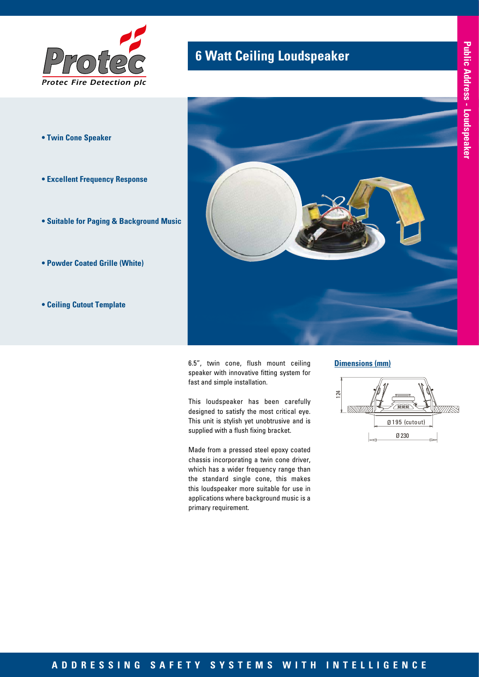

- **Twin Cone Speaker**
- **Excellent Frequency Response**
- **Suitable for Paging & Background Music**
- **Powder Coated Grille (White)**
- **Ceiling Cutout Template**

# **6 Watt Ceiling Loudspeaker**



6.5", twin cone, flush mount ceiling speaker with innovative fitting system for fast and simple installation.

This loudspeaker has been carefully designed to satisfy the most critical eye. This unit is stylish yet unobtrusive and is supplied with a flush fixing bracket.

Made from a pressed steel epoxy coated chassis incorporating a twin cone driver, which has a wider frequency range than the standard single cone, this makes this loudspeaker more suitable for use in applications where background music is a primary requirement.

#### **Dimensions (mm)**